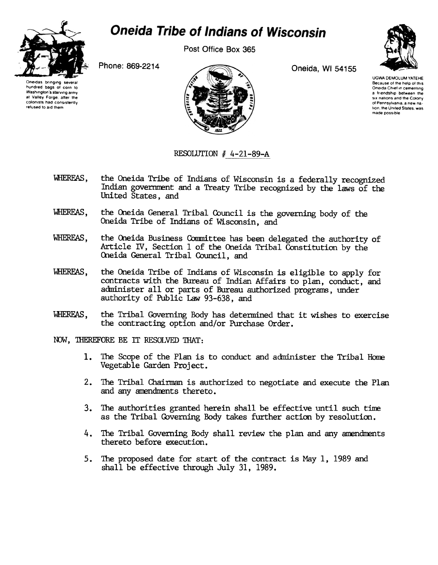

## **Oneida Tribe of Indians of Wisconsin**

Post Office Box 365

Phone: 869-2214

Oneidas bringing hundred bags of corn to Washington's starving army at Valley Forge, after the colonists had consistently refused to aid them



Oneida, WI 54155



UGWA DEMOLUM YATEHE Because of the help of this Oneida Chief in cementing a friendship between the six nations and the Colony of Pennsylvania, a new nation, the United States, was made possible

## RESOLUTION # 4-21-89-A

- the Oneida Tribe of Indians of Wisconsin is a federally recognized WHEREAS. Indian government and a Treaty Tribe recognized by the laws of the United States, and
- WHEREAS. the Oneida General Tribal Council is the governing body of the Oneida Tribe of Indians of Wisconsin, and
- WHEREAS. the Oneida Business Committee has been delegated the authority of Article IV, Section 1 of the Oneida Tribal Constitution by the Oneida General Tribal Council, and
- the Oneida Tribe of Indians of Wisconsin is eligible to apply for WHEREAS, contracts with the Bureau of Indian Affairs to plan, conduct, and administer all or parts of Bureau authorized programs, under authority of Public Law 93-638, and
- the Tribal Governing Body has determined that it wishes to exercise WHEREAS. the contracting option and/or Purchase Order.
- NOW. THEREFORE BE IT RESOLVED THAT:
	- 1. The Scope of the Plan is to conduct and administer the Tribal Home Vegetable Garden Project.
	- 2. The Tribal Chairman is authorized to negotiate and execute the Plan and any amendments thereto.
	- 3. The authorities granted herein shall be effective until such time as the Tribal Governing Body takes further action by resolution.
	- 4. The Tribal Governing Body shall review the plan and any amendments thereto before execution.
	- 5. The proposed date for start of the contract is May 1, 1989 and shall be effective through July 31, 1989.